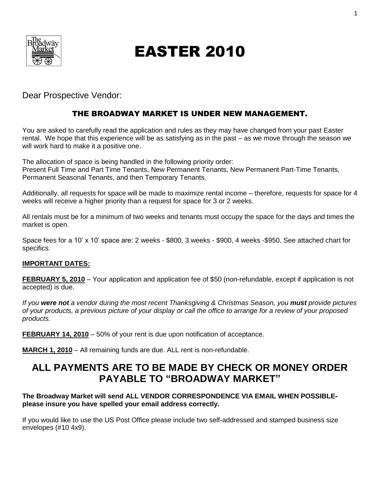

# EASTER 2010

Dear Prospective Vendor:

## THE BROADWAY MARKET IS UNDER NEW MANAGEMENT.

You are asked to carefully read the application and rules as they may have changed from your past Easter rental. We hope that this experience will be as satisfying as in the past – as we move through the season we will work hard to make it a positive one.

The allocation of space is being handled in the following priority order: Present Full Time and Part Time Tenants, New Permanent Tenants, New Permanent Part-Time Tenants, Permanent Seasonal Tenants, and then Temporary Tenants.

Additionally, all requests for space will be made to maximize rental income – therefore, requests for space for 4 weeks will receive a higher priority than a request for space for 3 or 2 weeks.

All rentals must be for a minimum of two weeks and tenants must occupy the space for the days and times the market is open.

Space fees for a 10' x 10' space are: 2 weeks - \$800, 3 weeks - \$900, 4 weeks -\$950. See attached chart for specifics.

## **IMPORTANT DATES:**

**FEBRUARY 5, 2010** – Your application and application fee of \$50 (non-refundable, except if application is not accepted) is due.

*If you were not a vendor during the most recent Thanksgiving & Christmas Season, you must provide pictures of your products, a previous picture of your display or call the office to arrange for a review of your proposed products.*

**FEBRUARY 14, 2010** – 50% of your rent is due upon notification of acceptance.

**MARCH 1, 2010** – All remaining funds are due. ALL rent is non-refundable.

## **ALL PAYMENTS ARE TO BE MADE BY CHECK OR MONEY ORDER PAYABLE TO "BROADWAY MARKET"**

## **The Broadway Market will send ALL VENDOR CORRESPONDENCE VIA EMAIL WHEN POSSIBLEplease insure you have spelled your email address correctly.**

If you would like to use the US Post Office please include two self-addressed and stamped business size envelopes (#10 4x9).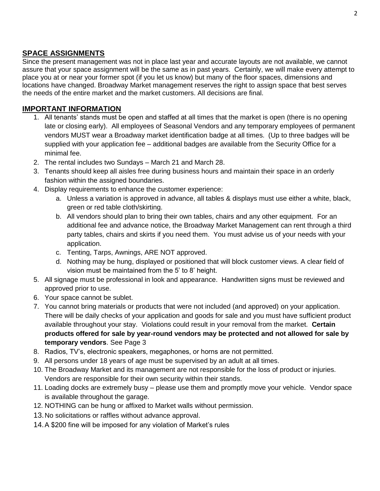## **SPACE ASSIGNMENTS**

Since the present management was not in place last year and accurate layouts are not available, we cannot assure that your space assignment will be the same as in past years. Certainly, we will make every attempt to place you at or near your former spot (if you let us know) but many of the floor spaces, dimensions and locations have changed. Broadway Market management reserves the right to assign space that best serves the needs of the entire market and the market customers. All decisions are final.

## **IMPORTANT INFORMATION**

- 1. All tenants' stands must be open and staffed at all times that the market is open (there is no opening late or closing early). All employees of Seasonal Vendors and any temporary employees of permanent vendors MUST wear a Broadway market identification badge at all times. (Up to three badges will be supplied with your application fee – additional badges are available from the Security Office for a minimal fee.
- 2. The rental includes two Sundays March 21 and March 28.
- 3. Tenants should keep all aisles free during business hours and maintain their space in an orderly fashion within the assigned boundaries.
- 4. Display requirements to enhance the customer experience:
	- a. Unless a variation is approved in advance, all tables & displays must use either a white, black, green or red table cloth/skirting.
	- b. All vendors should plan to bring their own tables, chairs and any other equipment. For an additional fee and advance notice, the Broadway Market Management can rent through a third party tables, chairs and skirts if you need them. You must advise us of your needs with your application.
	- c. Tenting, Tarps, Awnings, ARE NOT approved.
	- d. Nothing may be hung, displayed or positioned that will block customer views. A clear field of vision must be maintained from the 5' to 8' height.
- 5. All signage must be professional in look and appearance. Handwritten signs must be reviewed and approved prior to use.
- 6. Your space cannot be sublet.
- 7. You cannot bring materials or products that were not included (and approved) on your application. There will be daily checks of your application and goods for sale and you must have sufficient product available throughout your stay. Violations could result in your removal from the market. **Certain products offered for sale by year-round vendors may be protected and not allowed for sale by temporary vendors**. See Page 3
- 8. Radios, TV's, electronic speakers, megaphones, or horns are not permitted.
- 9. All persons under 18 years of age must be supervised by an adult at all times.
- 10. The Broadway Market and its management are not responsible for the loss of product or injuries. Vendors are responsible for their own security within their stands.
- 11. Loading docks are extremely busy please use them and promptly move your vehicle. Vendor space is available throughout the garage.
- 12. NOTHING can be hung or affixed to Market walls without permission.
- 13.No solicitations or raffles without advance approval.
- 14.A \$200 fine will be imposed for any violation of Market's rules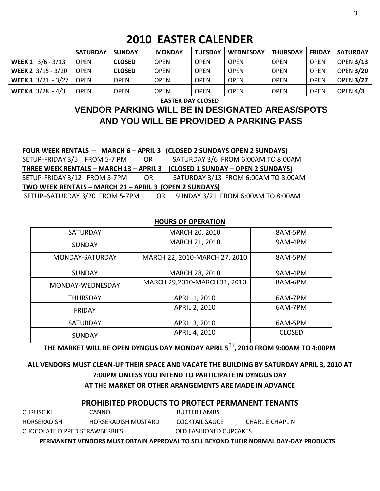## **2010 EASTER CALENDER**

|                                  | <b>SATURDAY</b> | <b>SUNDAY</b> | <b>MONDAY</b> | <b>TUESDAY</b> | <b>WEDNESDAY</b> | <b>THURSDAY</b> | <b>FRIDAY</b> | <b>SATURDAY</b>  |
|----------------------------------|-----------------|---------------|---------------|----------------|------------------|-----------------|---------------|------------------|
| WEEK 1 3/6 - 3/13                | <b>OPEN</b>     | <b>CLOSED</b> | OPEN          | OPEN           | <b>OPEN</b>      | <b>OPEN</b>     | <b>OPEN</b>   | <b>OPEN 3/13</b> |
| WEEK 2 3/15 - 3/20               | <b>OPEN</b>     | <b>CLOSED</b> | OPEN          | <b>OPEN</b>    | <b>OPEN</b>      | <b>OPEN</b>     | <b>OPEN</b>   | <b>OPEN 3/20</b> |
| <b>WEEK 3</b> 3/21 - 3/27   OPEN |                 | <b>OPEN</b>   | OPEN          | <b>OPEN</b>    | <b>OPEN</b>      | <b>OPEN</b>     | <b>OPEN</b>   | <b>OPEN 3/27</b> |
| WEEK 4 $3/28 - 4/3$              | <b>OPEN</b>     | <b>OPEN</b>   | OPEN          | OPEN           | <b>OPEN</b>      | <b>OPEN</b>     | <b>OPEN</b>   | OPEN 4/3         |

**EASTER DAY CLOSED**

## **VENDOR PARKING WILL BE IN DESIGNATED AREAS/SPOTS AND YOU WILL BE PROVIDED A PARKING PASS**

|                                                        |  |  | FOUR WEEK RENTALS - MARCH 6 - APRIL 3 (CLOSED 2 SUNDAYS OPEN 2 SUNDAYS) |  |  |  |
|--------------------------------------------------------|--|--|-------------------------------------------------------------------------|--|--|--|
| SETUP-FRIDAY 3/5 FROM 5-7 PM OR                        |  |  | SATURDAY 3/6 FROM 6:00AM TO 8:00AM                                      |  |  |  |
| THREE WEEK RENTALS - MARCH 13 - APRIL 3                |  |  | (CLOSED 1 SUNDAY - OPEN 2 SUNDAYS)                                      |  |  |  |
| SETUP-FRIDAY 3/12 FROM 5-7PM OR                        |  |  | SATURDAY 3/13 FROM 6:00AM TO 8:00AM                                     |  |  |  |
| TWO WEEK RENTALS - MARCH 21 - APRIL 3 (OPEN 2 SUNDAYS) |  |  |                                                                         |  |  |  |
|                                                        |  |  | SETUP-SATURDAY 3/20 FROM 5-7PM OR SUNDAY 3/21 FROM 6:00AM TO 8:00AM     |  |  |  |

#### **HOURS OF OPERATION**

| <b>SATURDAY</b>  | MARCH 20, 2010                | 8AM-5PM       |  |
|------------------|-------------------------------|---------------|--|
| <b>SUNDAY</b>    | MARCH 21, 2010                | 9AM-4PM       |  |
| MONDAY-SATURDAY  | MARCH 22, 2010-MARCH 27, 2010 | 8AM-5PM       |  |
| <b>SUNDAY</b>    | MARCH 28, 2010                | 9AM-4PM       |  |
| MONDAY-WEDNESDAY | MARCH 29,2010-MARCH 31, 2010  | 8AM-6PM       |  |
| <b>THURSDAY</b>  | APRIL 1, 2010                 | 6AM-7PM       |  |
| <b>FRIDAY</b>    | <b>APRIL 2, 2010</b>          | 6AM-7PM       |  |
| <b>SATURDAY</b>  | APRIL 3, 2010                 | 6AM-5PM       |  |
| <b>SUNDAY</b>    | APRIL 4, 2010                 | <b>CLOSED</b> |  |

**THE MARKET WILL BE OPEN DYNGUS DAY MONDAY APRIL 5TH, 2010 FROM 9:00AM TO 4:00PM**

## **ALL VENDORS MUST CLEAN-UP THEIR SPACE AND VACATE THE BUILDING BY SATURDAY APRIL 3, 2010 AT 7:00PM UNLESS YOU INTEND TO PARTICIPATE IN DYNGUS DAY AT THE MARKET OR OTHER ARANGEMENTS ARE MADE IN ADVANCE**

## **PROHIBITED PRODUCTS TO PROTECT PERMANENT TENANTS**

| PERMANENT VENDORS MUST OBTAIN APPROVAL TO SELL BEYOND THEIR NORMAL DAY-DAY PRODUCTS |                     |                        |                 |  |  |
|-------------------------------------------------------------------------------------|---------------------|------------------------|-----------------|--|--|
| CHOCOLATE DIPPED STRAWBERRIES                                                       |                     | OLD FASHIONED CUPCAKES |                 |  |  |
| HORSERADISH                                                                         | HORSFRADISH MUSTARD | COCKTAIL SAUCE         | CHARLIF CHAPLIN |  |  |
| CHRUSCIKI                                                                           | CANNOLI             | <b>BUTTER LAMBS</b>    |                 |  |  |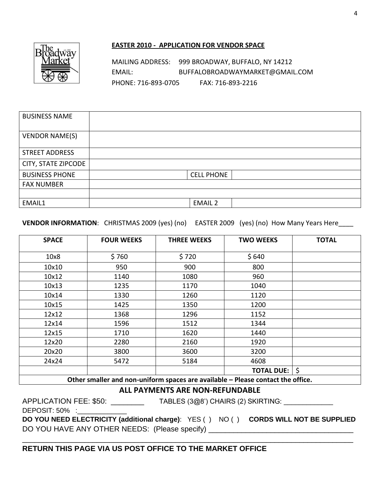

#### **EASTER 2010 - APPLICATION FOR VENDOR SPACE**

MAILING ADDRESS: 999 BROADWAY, BUFFALO, NY 14212 EMAIL: BUFFALOBROADWAYMARKET@GMAIL.COM PHONE: 716-893-0705 FAX: 716-893-2216

| <b>BUSINESS NAME</b>  |                   |
|-----------------------|-------------------|
| <b>VENDOR NAME(S)</b> |                   |
| <b>STREET ADDRESS</b> |                   |
| CITY, STATE ZIPCODE   |                   |
| <b>BUSINESS PHONE</b> | <b>CELL PHONE</b> |
| <b>FAX NUMBER</b>     |                   |
|                       |                   |
| EMAIL1                | <b>EMAIL 2</b>    |

#### **VENDOR INFORMATION:** CHRISTMAS 2009 (yes) (no) EASTER 2009 (yes) (no) How Many Years Here\_\_\_\_

| <b>SPACE</b>                                                                   | <b>FOUR WEEKS</b> | <b>THREE WEEKS</b> | <b>TWO WEEKS</b>  | <b>TOTAL</b> |  |  |
|--------------------------------------------------------------------------------|-------------------|--------------------|-------------------|--------------|--|--|
| 10x8                                                                           | \$760             | \$720              | \$640             |              |  |  |
| 10x10                                                                          | 950               | 900                | 800               |              |  |  |
| 10x12                                                                          | 1140              | 1080               | 960               |              |  |  |
| 10x13                                                                          | 1235              | 1170               | 1040              |              |  |  |
| 10x14                                                                          | 1330              | 1260               | 1120              |              |  |  |
| 10x15                                                                          | 1425              | 1350               | 1200              |              |  |  |
| 12x12                                                                          | 1368              | 1296               | 1152              |              |  |  |
| 12x14                                                                          | 1596              | 1512               | 1344              |              |  |  |
| 12x15                                                                          | 1710              | 1620               | 1440              |              |  |  |
| 12x20                                                                          | 2280              | 2160               | 1920              |              |  |  |
| 20x20                                                                          | 3800              | 3600               | 3200              |              |  |  |
| 24x24                                                                          | 5472              | 5184               | 4608              |              |  |  |
|                                                                                |                   |                    | <b>TOTAL DUE:</b> | \$           |  |  |
| Other smaller and non-uniform spaces are available - Please contact the office |                   |                    |                   |              |  |  |

**Other smaller and non-uniform spaces are available – Please contact the office.**

## **ALL PAYMENTS ARE NON-REFUNDABLE**

APPLICATION FEE: \$50: \_\_\_\_\_\_\_\_\_\_ TABLES (3@8') CHAIRS (2) SKIRTING: \_\_\_\_\_\_\_\_\_\_\_

DEPOSIT: 50% :

**DO YOU NEED ELECTRICITY (additional charge)**: YES ( ) NO ( ) **CORDS WILL NOT BE SUPPLIED** DO YOU HAVE ANY OTHER NEEDS: (Please specify) \_\_\_\_\_\_\_\_\_\_\_\_\_\_\_\_\_\_\_\_\_\_\_\_\_\_\_\_\_\_\_\_\_\_

\_\_\_\_\_\_\_\_\_\_\_\_\_\_\_\_\_\_\_\_\_\_\_\_\_\_\_\_\_\_\_\_\_\_\_\_\_\_\_\_\_\_\_\_\_\_\_\_\_\_\_\_\_\_\_\_\_\_\_\_\_\_\_\_\_\_\_\_\_\_\_\_\_\_\_\_\_\_\_\_

## **RETURN THIS PAGE VIA US POST OFFICE TO THE MARKET OFFICE**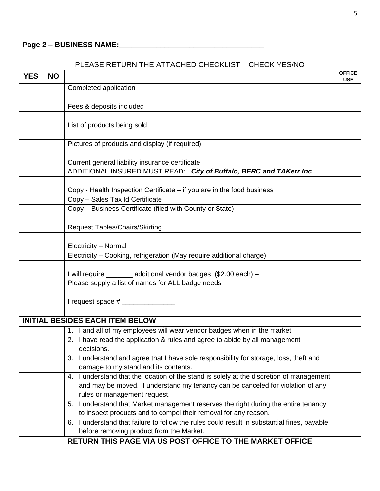## PLEASE RETURN THE ATTACHED CHECKLIST – CHECK YES/NO

| <b>YES</b> | <b>NO</b> |                                                                                             | <b>OFFICE</b> |
|------------|-----------|---------------------------------------------------------------------------------------------|---------------|
|            |           | Completed application                                                                       | <b>USE</b>    |
|            |           |                                                                                             |               |
|            |           | Fees & deposits included                                                                    |               |
|            |           |                                                                                             |               |
|            |           | List of products being sold                                                                 |               |
|            |           |                                                                                             |               |
|            |           | Pictures of products and display (if required)                                              |               |
|            |           |                                                                                             |               |
|            |           | Current general liability insurance certificate                                             |               |
|            |           | ADDITIONAL INSURED MUST READ: City of Buffalo, BERC and TAKerr Inc.                         |               |
|            |           |                                                                                             |               |
|            |           | Copy - Health Inspection Certificate – if you are in the food business                      |               |
|            |           | Copy - Sales Tax Id Certificate                                                             |               |
|            |           | Copy - Business Certificate (filed with County or State)                                    |               |
|            |           |                                                                                             |               |
|            |           | <b>Request Tables/Chairs/Skirting</b>                                                       |               |
|            |           |                                                                                             |               |
|            |           | Electricity - Normal                                                                        |               |
|            |           | Electricity - Cooking, refrigeration (May require additional charge)                        |               |
|            |           |                                                                                             |               |
|            |           | I will require _______ additional vendor badges (\$2.00 each) -                             |               |
|            |           | Please supply a list of names for ALL badge needs                                           |               |
|            |           |                                                                                             |               |
|            |           | I request space $#$ __________                                                              |               |
|            |           |                                                                                             |               |
|            |           | <b>INITIAL BESIDES EACH ITEM BELOW</b>                                                      |               |
|            |           | 1. I and all of my employees will wear vendor badges when in the market                     |               |
|            |           | 2. I have read the application & rules and agree to abide by all management                 |               |
|            |           | decisions.                                                                                  |               |
|            |           | I understand and agree that I have sole responsibility for storage, loss, theft and<br>3.   |               |
|            |           | damage to my stand and its contents.                                                        |               |
|            |           | 4. I understand that the location of the stand is solely at the discretion of management    |               |
|            |           | and may be moved. I understand my tenancy can be canceled for violation of any              |               |
|            |           | rules or management request.                                                                |               |
|            |           | 5. I understand that Market management reserves the right during the entire tenancy         |               |
|            |           | to inspect products and to compel their removal for any reason.                             |               |
|            |           | 6. I understand that failure to follow the rules could result in substantial fines, payable |               |
|            |           | before removing product from the Market.                                                    |               |
|            |           | RETURN THIS PAGE VIA US POST OFFICE TO THE MARKET OFFICE                                    |               |